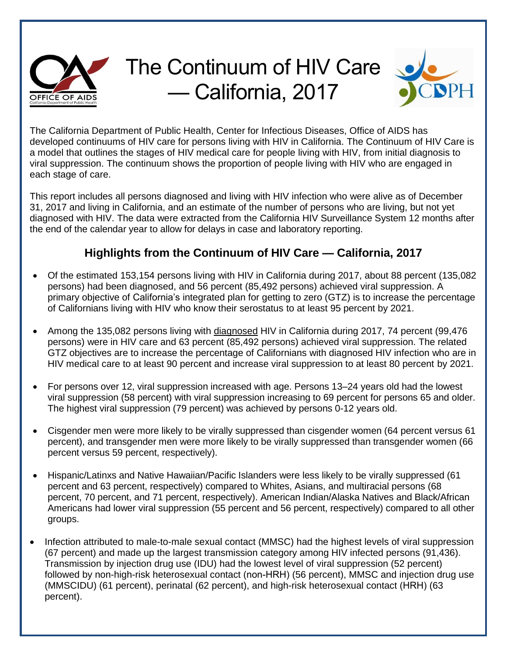

## The Continuum of HIV Care — California, 2017



The California Department of Public Health, Center for Infectious Diseases, Office of AIDS has developed continuums of HIV care for persons living with HIV in California. The Continuum of HIV Care is a model that outlines the stages of HIV medical care for people living with HIV, from initial diagnosis to viral suppression. The continuum shows the proportion of people living with HIV who are engaged in each stage of care.

This report includes all persons diagnosed and living with HIV infection who were alive as of December 31, 2017 and living in California, and an estimate of the number of persons who are living, but not yet diagnosed with HIV. The data were extracted from the California HIV Surveillance System 12 months after the end of the calendar year to allow for delays in case and laboratory reporting.

## **Highlights from the Continuum of HIV Care — California, 2017**

- Of the estimated 153,154 persons living with HIV in California during 2017, about 88 percent (135,082 persons) had been diagnosed, and 56 percent (85,492 persons) achieved viral suppression. A primary objective of California's integrated plan for getting to zero (GTZ) is to increase the percentage of Californians living with HIV who know their serostatus to at least 95 percent by 2021.
- Among the 135,082 persons living with diagnosed HIV in California during 2017, 74 percent (99,476 persons) were in HIV care and 63 percent (85,492 persons) achieved viral suppression. The related GTZ objectives are to increase the percentage of Californians with diagnosed HIV infection who are in HIV medical care to at least 90 percent and increase viral suppression to at least 80 percent by 2021.
- For persons over 12, viral suppression increased with age. Persons 13–24 years old had the lowest viral suppression (58 percent) with viral suppression increasing to 69 percent for persons 65 and older. The highest viral suppression (79 percent) was achieved by persons 0-12 years old.
- Cisgender men were more likely to be virally suppressed than cisgender women (64 percent versus 61 percent), and transgender men were more likely to be virally suppressed than transgender women (66 percent versus 59 percent, respectively).
- Hispanic/Latinxs and Native Hawaiian/Pacific Islanders were less likely to be virally suppressed (61 percent and 63 percent, respectively) compared to Whites, Asians, and multiracial persons (68 percent, 70 percent, and 71 percent, respectively). American Indian/Alaska Natives and Black/African Americans had lower viral suppression (55 percent and 56 percent, respectively) compared to all other groups.
- Infection attributed to male-to-male sexual contact (MMSC) had the highest levels of viral suppression (67 percent) and made up the largest transmission category among HIV infected persons (91,436). Transmission by injection drug use (IDU) had the lowest level of viral suppression (52 percent) followed by non-high-risk heterosexual contact (non-HRH) (56 percent), MMSC and injection drug use (MMSCIDU) (61 percent), perinatal (62 percent), and high-risk heterosexual contact (HRH) (63 percent).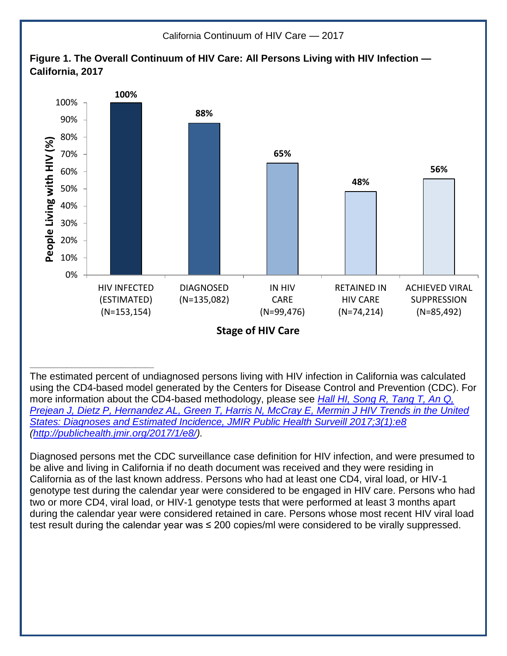

Diagnosed persons met the CDC surveillance case definition for HIV infection, and were presumed to be alive and living in California if no death document was received and they were residing in California as of the last known address. Persons who had at least one CD4, viral load, or HIV-1 genotype test during the calendar year were considered to be engaged in HIV care. Persons who had two or more CD4, viral load, or HIV-1 genotype tests that were performed at least 3 months apart during the calendar year were considered retained in care. Persons whose most recent HIV viral load test result during the calendar year was ≤ 200 copies/ml were considered to be virally suppressed.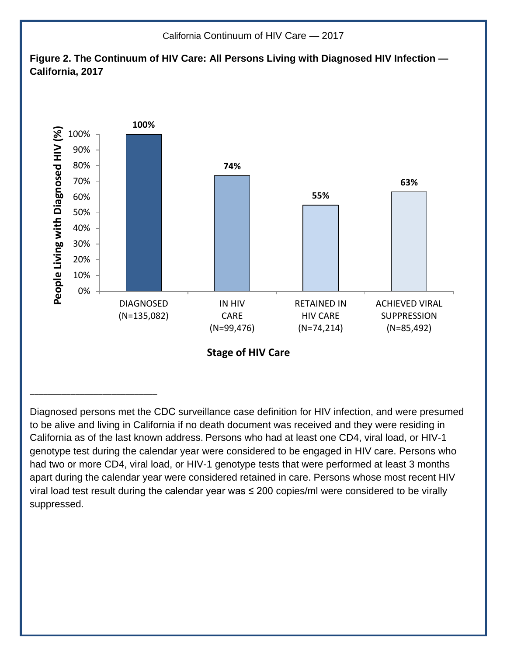

Diagnosed persons met the CDC surveillance case definition for HIV infection, and were presumed to be alive and living in California if no death document was received and they were residing in California as of the last known address. Persons who had at least one CD4, viral load, or HIV-1 genotype test during the calendar year were considered to be engaged in HIV care. Persons who had two or more CD4, viral load, or HIV-1 genotype tests that were performed at least 3 months apart during the calendar year were considered retained in care. Persons whose most recent HIV viral load test result during the calendar year was ≤ 200 copies/ml were considered to be virally suppressed.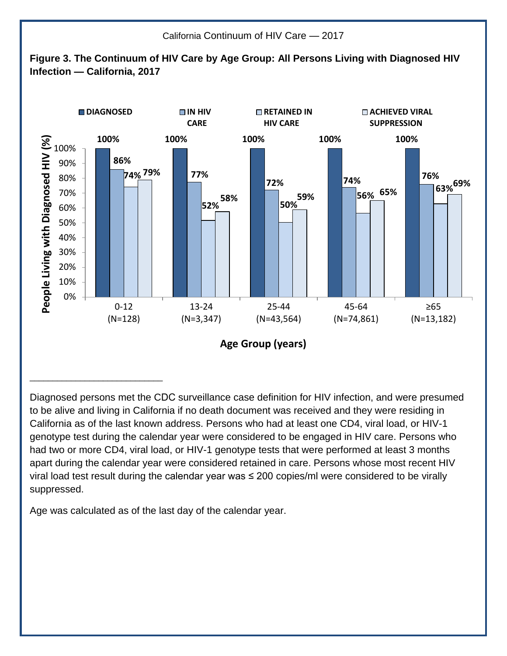

Diagnosed persons met the CDC surveillance case definition for HIV infection, and were presumed to be alive and living in California if no death document was received and they were residing in California as of the last known address. Persons who had at least one CD4, viral load, or HIV-1 genotype test during the calendar year were considered to be engaged in HIV care. Persons who had two or more CD4, viral load, or HIV-1 genotype tests that were performed at least 3 months apart during the calendar year were considered retained in care. Persons whose most recent HIV viral load test result during the calendar year was ≤ 200 copies/ml were considered to be virally suppressed.

Age was calculated as of the last day of the calendar year.

\_\_\_\_\_\_\_\_\_\_\_\_\_\_\_\_\_\_\_\_\_\_\_\_\_\_\_\_\_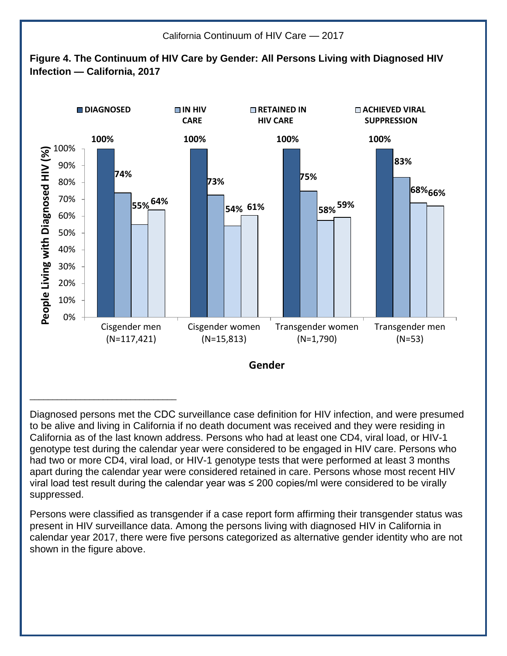

Diagnosed persons met the CDC surveillance case definition for HIV infection, and were presumed to be alive and living in California if no death document was received and they were residing in California as of the last known address. Persons who had at least one CD4, viral load, or HIV-1 genotype test during the calendar year were considered to be engaged in HIV care. Persons who had two or more CD4, viral load, or HIV-1 genotype tests that were performed at least 3 months apart during the calendar year were considered retained in care. Persons whose most recent HIV viral load test result during the calendar year was ≤ 200 copies/ml were considered to be virally suppressed.

Persons were classified as transgender if a case report form affirming their transgender status was present in HIV surveillance data. Among the persons living with diagnosed HIV in California in calendar year 2017, there were five persons categorized as alternative gender identity who are not shown in the figure above.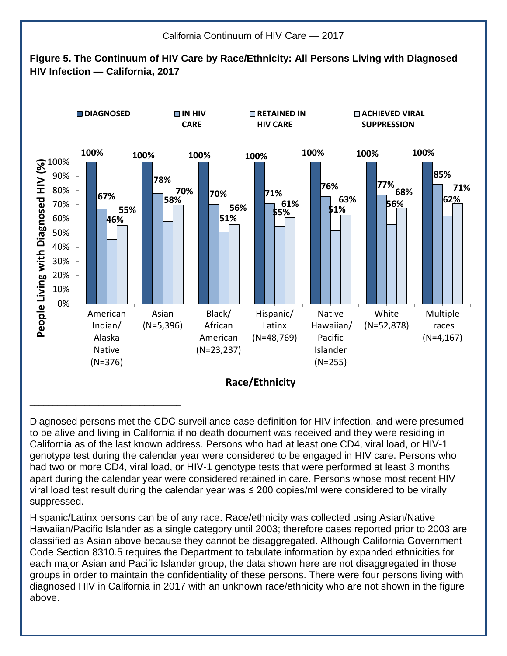

Diagnosed persons met the CDC surveillance case definition for HIV infection, and were presumed to be alive and living in California if no death document was received and they were residing in California as of the last known address. Persons who had at least one CD4, viral load, or HIV-1 genotype test during the calendar year were considered to be engaged in HIV care. Persons who had two or more CD4, viral load, or HIV-1 genotype tests that were performed at least 3 months apart during the calendar year were considered retained in care. Persons whose most recent HIV viral load test result during the calendar year was  $\leq$  200 copies/ml were considered to be virally suppressed.

Hispanic/Latinx persons can be of any race. Race/ethnicity was collected using Asian/Native Hawaiian/Pacific Islander as a single category until 2003; therefore cases reported prior to 2003 are classified as Asian above because they cannot be disaggregated. Although California Government Code Section 8310.5 requires the Department to tabulate information by expanded ethnicities for each major Asian and Pacific Islander group, the data shown here are not disaggregated in those groups in order to maintain the confidentiality of these persons. There were four persons living with diagnosed HIV in California in 2017 with an unknown race/ethnicity who are not shown in the figure above.